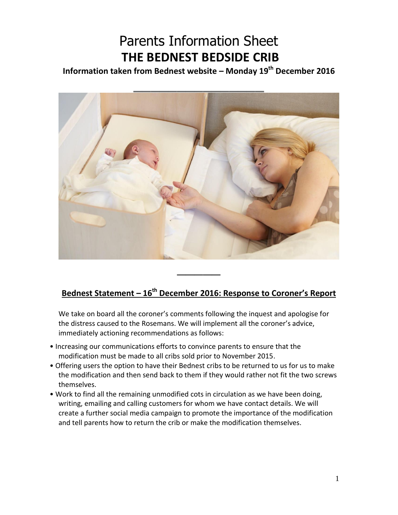## Parents Information Sheet **THE BEDNEST BEDSIDE CRIB**

**Information taken from Bednest website – Monday 19th December 2016**



## **Bednest Statement – 16th December 2016: Response to Coroner's Report**

We take on board all the coroner's comments following the inquest and apologise for the distress caused to the Rosemans. We will implement all the coroner's advice, immediately actioning recommendations as follows:

- Increasing our communications efforts to convince parents to ensure that the modification must be made to all cribs sold prior to November 2015.
- Offering users the option to have their Bednest cribs to be returned to us for us to make the modification and then send back to them if they would rather not fit the two screws themselves.
- Work to find all the remaining unmodified cots in circulation as we have been doing, writing, emailing and calling customers for whom we have contact details. We will create a further social media campaign to promote the importance of the modification and tell parents how to return the crib or make the modification themselves.